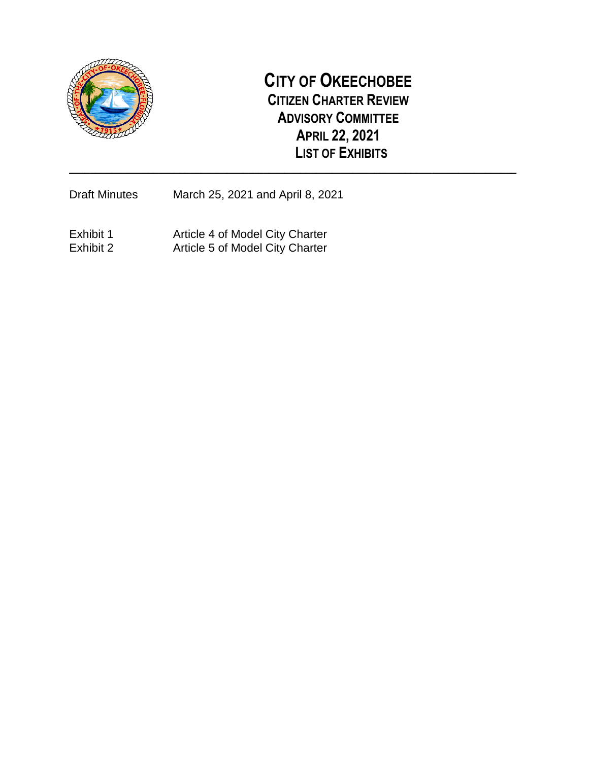

# **CITY OF OKEECHOBEE CITIZEN CHARTER REVIEW ADVISORY COMMITTEE APRIL 22, 2021 LIST OF EXHIBITS**

**\_\_\_\_\_\_\_\_\_\_\_\_\_\_\_\_\_\_\_\_\_\_\_\_\_\_\_\_\_\_\_\_\_\_\_\_\_\_\_\_\_\_\_\_\_\_\_\_\_\_\_\_\_\_\_\_\_\_\_\_\_\_\_\_\_\_\_\_\_\_\_\_\_\_\_\_\_\_\_\_\_\_\_\_\_**

Draft Minutes March 25, 2021 and April 8, 2021

Exhibit 1 **Article 4 of Model City Charter** Exhibit 2 Article 5 of Model City Charter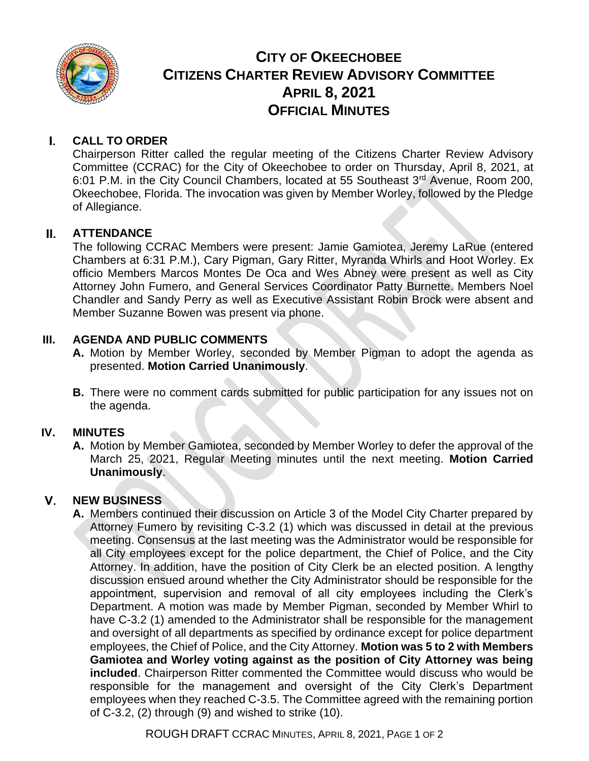

## **CITY OF OKEECHOBEE CITIZENS CHARTER REVIEW ADVISORY COMMITTEE APRIL 8, 2021 OFFICIAL MINUTES**

#### $\mathbf{L}$ **CALL TO ORDER**

Chairperson Ritter called the regular meeting of the Citizens Charter Review Advisory Committee (CCRAC) for the City of Okeechobee to order on Thursday, April 8, 2021, at 6:01 P.M. in the City Council Chambers, located at 55 Southeast 3<sup>rd</sup> Avenue, Room 200, Okeechobee, Florida. The invocation was given by Member Worley, followed by the Pledge of Allegiance.

#### **ATTENDANCE**  $II.$

The following CCRAC Members were present: Jamie Gamiotea, Jeremy LaRue (entered Chambers at 6:31 P.M.), Cary Pigman, Gary Ritter, Myranda Whirls and Hoot Worley. Ex officio Members Marcos Montes De Oca and Wes Abney were present as well as City Attorney John Fumero, and General Services Coordinator Patty Burnette. Members Noel Chandler and Sandy Perry as well as Executive Assistant Robin Brock were absent and Member Suzanne Bowen was present via phone.

## **III. AGENDA AND PUBLIC COMMENTS**

- **A.** Motion by Member Worley, seconded by Member Pigman to adopt the agenda as presented. **Motion Carried Unanimously**.
- **B.** There were no comment cards submitted for public participation for any issues not on the agenda.

## **IV. MINUTES**

**A.** Motion by Member Gamiotea, seconded by Member Worley to defer the approval of the March 25, 2021, Regular Meeting minutes until the next meeting. **Motion Carried Unanimously**.

#### $\mathsf{V}$ **NEW BUSINESS**

**A.** Members continued their discussion on Article 3 of the Model City Charter prepared by Attorney Fumero by revisiting C-3.2 (1) which was discussed in detail at the previous meeting. Consensus at the last meeting was the Administrator would be responsible for all City employees except for the police department, the Chief of Police, and the City Attorney. In addition, have the position of City Clerk be an elected position. A lengthy discussion ensued around whether the City Administrator should be responsible for the appointment, supervision and removal of all city employees including the Clerk's Department. A motion was made by Member Pigman, seconded by Member Whirl to have C-3.2 (1) amended to the Administrator shall be responsible for the management and oversight of all departments as specified by ordinance except for police department employees, the Chief of Police, and the City Attorney. **Motion was 5 to 2 with Members Gamiotea and Worley voting against as the position of City Attorney was being included**. Chairperson Ritter commented the Committee would discuss who would be responsible for the management and oversight of the City Clerk's Department employees when they reached C-3.5. The Committee agreed with the remaining portion of C-3.2, (2) through (9) and wished to strike (10).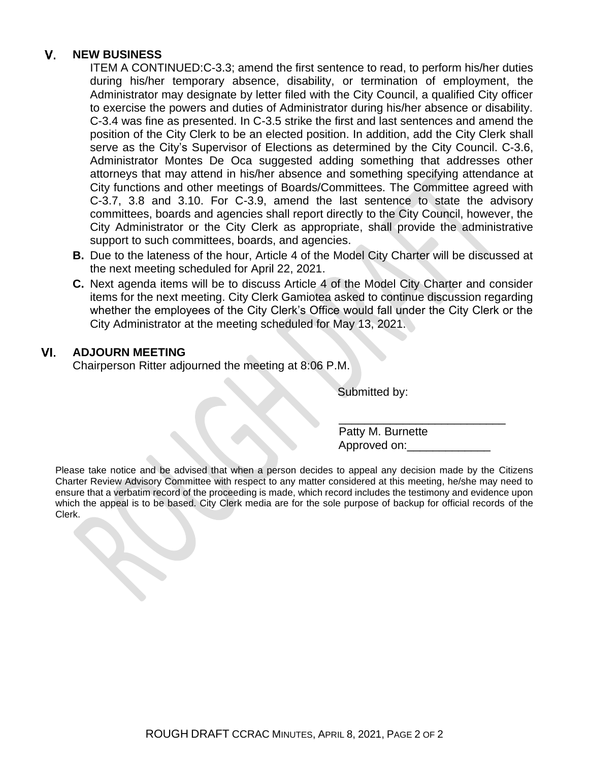#### **NEW BUSINESS**  $\mathbf{V}$

ITEM A CONTINUED:C-3.3; amend the first sentence to read, to perform his/her duties during his/her temporary absence, disability, or termination of employment, the Administrator may designate by letter filed with the City Council, a qualified City officer to exercise the powers and duties of Administrator during his/her absence or disability. C-3.4 was fine as presented. In C-3.5 strike the first and last sentences and amend the position of the City Clerk to be an elected position. In addition, add the City Clerk shall serve as the City's Supervisor of Elections as determined by the City Council. C-3.6, Administrator Montes De Oca suggested adding something that addresses other attorneys that may attend in his/her absence and something specifying attendance at City functions and other meetings of Boards/Committees. The Committee agreed with C-3.7, 3.8 and 3.10. For C-3.9, amend the last sentence to state the advisory committees, boards and agencies shall report directly to the City Council, however, the City Administrator or the City Clerk as appropriate, shall provide the administrative support to such committees, boards, and agencies.

- **B.** Due to the lateness of the hour, Article 4 of the Model City Charter will be discussed at the next meeting scheduled for April 22, 2021.
- **C.** Next agenda items will be to discuss Article 4 of the Model City Charter and consider items for the next meeting. City Clerk Gamiotea asked to continue discussion regarding whether the employees of the City Clerk's Office would fall under the City Clerk or the City Administrator at the meeting scheduled for May 13, 2021.

#### VI. **ADJOURN MEETING**

Chairperson Ritter adjourned the meeting at 8:06 P.M.

Submitted by:

 Patty M. Burnette Approved on:

 $\overline{\phantom{a}}$  , which is the set of the set of the set of the set of the set of the set of the set of the set of the set of the set of the set of the set of the set of the set of the set of the set of the set of the set of

Please take notice and be advised that when a person decides to appeal any decision made by the Citizens Charter Review Advisory Committee with respect to any matter considered at this meeting, he/she may need to ensure that a verbatim record of the proceeding is made, which record includes the testimony and evidence upon which the appeal is to be based. City Clerk media are for the sole purpose of backup for official records of the Clerk.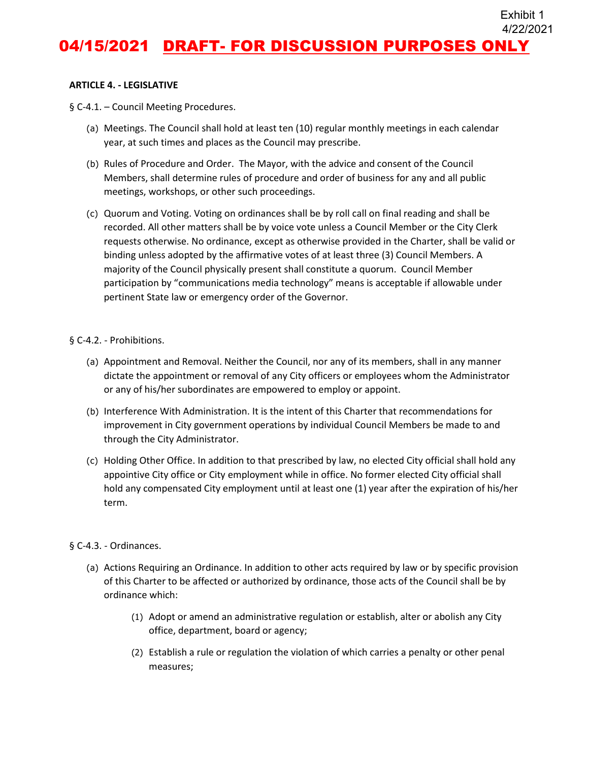## 04/15/2021 DRAFT- FOR DISCUSSION PURPOSES ONLY 4/22/2021

Exhibit 1

#### **ARTICLE 4. - LEGISLATIVE**

§ C-4.1. – Council Meeting Procedures.

- (a) Meetings. The Council shall hold at least ten (10) regular monthly meetings in each calendar year, at such times and places as the Council may prescribe.
- (b) Rules of Procedure and Order. The Mayor, with the advice and consent of the Council Members, shall determine rules of procedure and order of business for any and all public meetings, workshops, or other such proceedings.
- (c) Quorum and Voting. Voting on ordinances shall be by roll call on final reading and shall be recorded. All other matters shall be by voice vote unless a Council Member or the City Clerk requests otherwise. No ordinance, except as otherwise provided in the Charter, shall be valid or binding unless adopted by the affirmative votes of at least three (3) Council Members. A majority of the Council physically present shall constitute a quorum. Council Member participation by "communications media technology" means is acceptable if allowable under pertinent State law or emergency order of the Governor.

#### § C-4.2. - Prohibitions.

- (a) Appointment and Removal. Neither the Council, nor any of its members, shall in any manner dictate the appointment or removal of any City officers or employees whom the Administrator or any of his/her subordinates are empowered to employ or appoint.
- (b) Interference With Administration. It is the intent of this Charter that recommendations for improvement in City government operations by individual Council Members be made to and through the City Administrator.
- (c) Holding Other Office. In addition to that prescribed by law, no elected City official shall hold any appointive City office or City employment while in office. No former elected City official shall hold any compensated City employment until at least one (1) year after the expiration of his/her term.

#### § C-4.3. - Ordinances.

- (a) Actions Requiring an Ordinance. In addition to other acts required by law or by specific provision of this Charter to be affected or authorized by ordinance, those acts of the Council shall be by ordinance which:
	- (1) Adopt or amend an administrative regulation or establish, alter or abolish any City office, department, board or agency;
	- (2) Establish a rule or regulation the violation of which carries a penalty or other penal measures;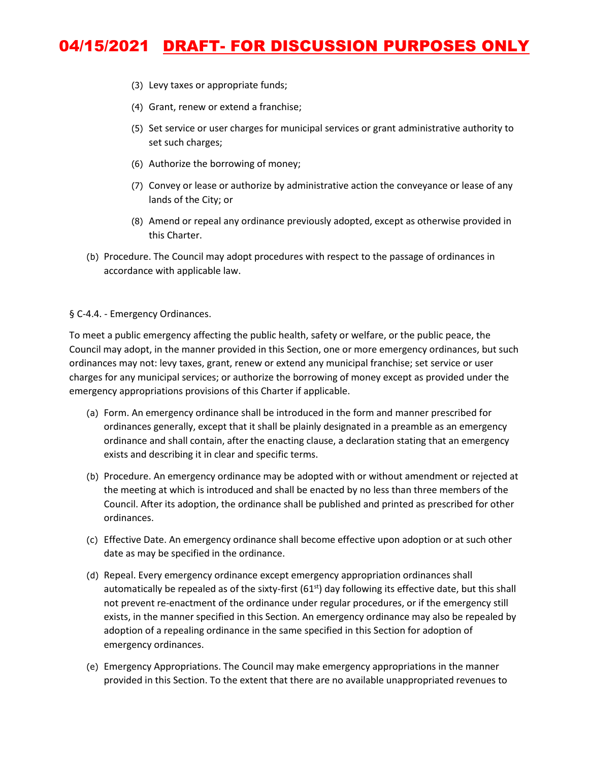# 04/15/2021 DRAFT- FOR DISCUSSION PURPOSES ONLY

- (3) Levy taxes or appropriate funds;
- (4) Grant, renew or extend a franchise;
- (5) Set service or user charges for municipal services or grant administrative authority to set such charges;
- (6) Authorize the borrowing of money;
- (7) Convey or lease or authorize by administrative action the conveyance or lease of any lands of the City; or
- (8) Amend or repeal any ordinance previously adopted, except as otherwise provided in this Charter.
- (b) Procedure. The Council may adopt procedures with respect to the passage of ordinances in accordance with applicable law.

#### § C-4.4. - Emergency Ordinances.

To meet a public emergency affecting the public health, safety or welfare, or the public peace, the Council may adopt, in the manner provided in this Section, one or more emergency ordinances, but such ordinances may not: levy taxes, grant, renew or extend any municipal franchise; set service or user charges for any municipal services; or authorize the borrowing of money except as provided under the emergency appropriations provisions of this Charter if applicable.

- (a) Form. An emergency ordinance shall be introduced in the form and manner prescribed for ordinances generally, except that it shall be plainly designated in a preamble as an emergency ordinance and shall contain, after the enacting clause, a declaration stating that an emergency exists and describing it in clear and specific terms.
- (b) Procedure. An emergency ordinance may be adopted with or without amendment or rejected at the meeting at which is introduced and shall be enacted by no less than three members of the Council. After its adoption, the ordinance shall be published and printed as prescribed for other ordinances.
- (c) Effective Date. An emergency ordinance shall become effective upon adoption or at such other date as may be specified in the ordinance.
- (d) Repeal. Every emergency ordinance except emergency appropriation ordinances shall automatically be repealed as of the sixty-first  $(61<sup>st</sup>)$  day following its effective date, but this shall not prevent re-enactment of the ordinance under regular procedures, or if the emergency still exists, in the manner specified in this Section. An emergency ordinance may also be repealed by adoption of a repealing ordinance in the same specified in this Section for adoption of emergency ordinances.
- (e) Emergency Appropriations. The Council may make emergency appropriations in the manner provided in this Section. To the extent that there are no available unappropriated revenues to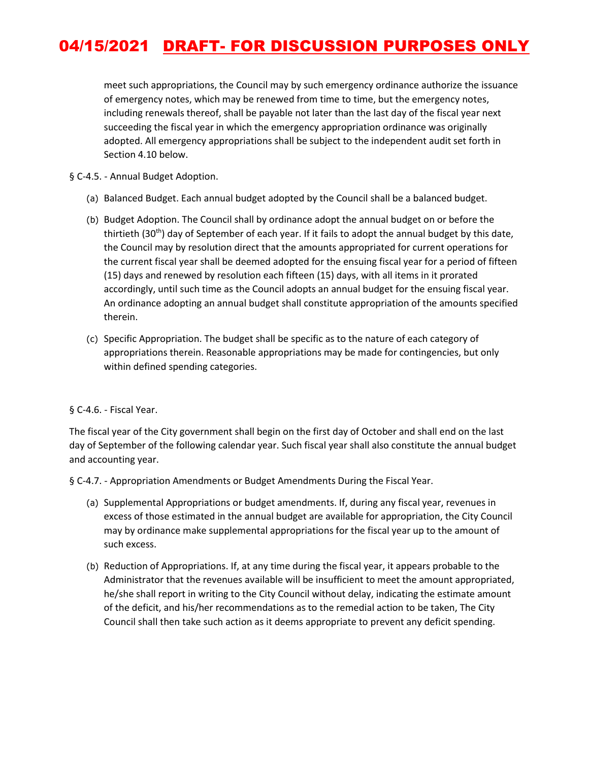# 04/15/2021 DRAFT- FOR DISCUSSION PURPOSES ONLY

meet such appropriations, the Council may by such emergency ordinance authorize the issuance of emergency notes, which may be renewed from time to time, but the emergency notes, including renewals thereof, shall be payable not later than the last day of the fiscal year next succeeding the fiscal year in which the emergency appropriation ordinance was originally adopted. All emergency appropriations shall be subject to the independent audit set forth in Section 4.10 below.

### § C-4.5. - Annual Budget Adoption.

- (a) Balanced Budget. Each annual budget adopted by the Council shall be a balanced budget.
- (b) Budget Adoption. The Council shall by ordinance adopt the annual budget on or before the thirtieth (30<sup>th</sup>) day of September of each year. If it fails to adopt the annual budget by this date, the Council may by resolution direct that the amounts appropriated for current operations for the current fiscal year shall be deemed adopted for the ensuing fiscal year for a period of fifteen (15) days and renewed by resolution each fifteen (15) days, with all items in it prorated accordingly, until such time as the Council adopts an annual budget for the ensuing fiscal year. An ordinance adopting an annual budget shall constitute appropriation of the amounts specified therein.
- (c) Specific Appropriation. The budget shall be specific as to the nature of each category of appropriations therein. Reasonable appropriations may be made for contingencies, but only within defined spending categories.

### § C-4.6. - Fiscal Year.

The fiscal year of the City government shall begin on the first day of October and shall end on the last day of September of the following calendar year. Such fiscal year shall also constitute the annual budget and accounting year.

§ C-4.7. - Appropriation Amendments or Budget Amendments During the Fiscal Year.

- (a) Supplemental Appropriations or budget amendments. If, during any fiscal year, revenues in excess of those estimated in the annual budget are available for appropriation, the City Council may by ordinance make supplemental appropriations for the fiscal year up to the amount of such excess.
- (b) Reduction of Appropriations. If, at any time during the fiscal year, it appears probable to the Administrator that the revenues available will be insufficient to meet the amount appropriated, he/she shall report in writing to the City Council without delay, indicating the estimate amount of the deficit, and his/her recommendations as to the remedial action to be taken, The City Council shall then take such action as it deems appropriate to prevent any deficit spending.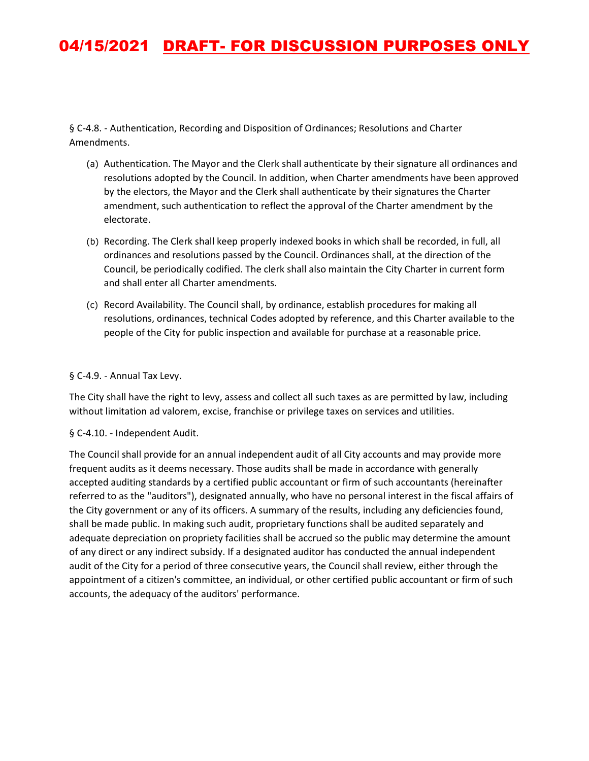# 04/15/2021 DRAFT- FOR DISCUSSION PURPOSES ONLY

§ C-4.8. - Authentication, Recording and Disposition of Ordinances; Resolutions and Charter Amendments.

- (a) Authentication. The Mayor and the Clerk shall authenticate by their signature all ordinances and resolutions adopted by the Council. In addition, when Charter amendments have been approved by the electors, the Mayor and the Clerk shall authenticate by their signatures the Charter amendment, such authentication to reflect the approval of the Charter amendment by the electorate.
- (b) Recording. The Clerk shall keep properly indexed books in which shall be recorded, in full, all ordinances and resolutions passed by the Council. Ordinances shall, at the direction of the Council, be periodically codified. The clerk shall also maintain the City Charter in current form and shall enter all Charter amendments.
- (c) Record Availability. The Council shall, by ordinance, establish procedures for making all resolutions, ordinances, technical Codes adopted by reference, and this Charter available to the people of the City for public inspection and available for purchase at a reasonable price.

### § C-4.9. - Annual Tax Levy.

The City shall have the right to levy, assess and collect all such taxes as are permitted by law, including without limitation ad valorem, excise, franchise or privilege taxes on services and utilities.

#### § C-4.10. - Independent Audit.

The Council shall provide for an annual independent audit of all City accounts and may provide more frequent audits as it deems necessary. Those audits shall be made in accordance with generally accepted auditing standards by a certified public accountant or firm of such accountants (hereinafter referred to as the "auditors"), designated annually, who have no personal interest in the fiscal affairs of the City government or any of its officers. A summary of the results, including any deficiencies found, shall be made public. In making such audit, proprietary functions shall be audited separately and adequate depreciation on propriety facilities shall be accrued so the public may determine the amount of any direct or any indirect subsidy. If a designated auditor has conducted the annual independent audit of the City for a period of three consecutive years, the Council shall review, either through the appointment of a citizen's committee, an individual, or other certified public accountant or firm of such accounts, the adequacy of the auditors' performance.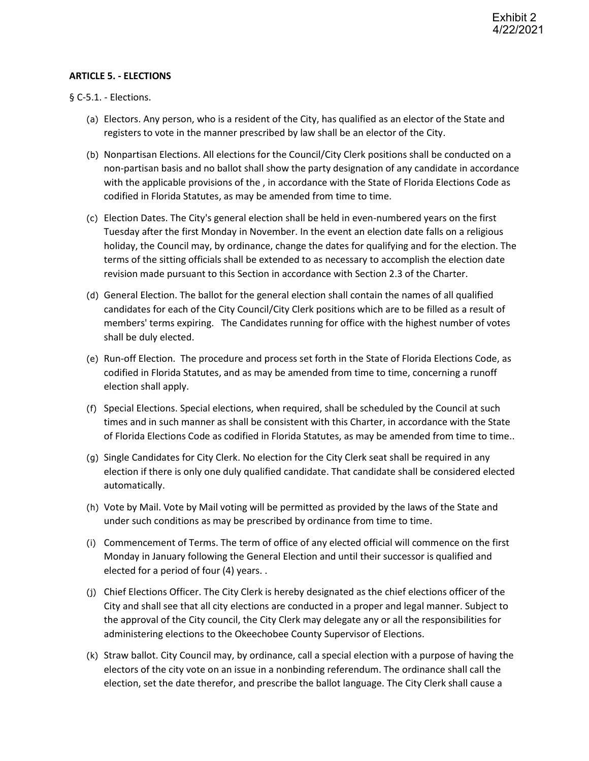### **ARTICLE 5. - ELECTIONS**

§ C-5.1. - Elections.

- (a) Electors. Any person, who is a resident of the City, has qualified as an elector of the State and registers to vote in the manner prescribed by law shall be an elector of the City.
- (b) Nonpartisan Elections. All elections for the Council/City Clerk positions shall be conducted on a non-partisan basis and no ballot shall show the party designation of any candidate in accordance with the applicable provisions of the , in accordance with the State of Florida Elections Code as codified in Florida Statutes, as may be amended from time to time.
- (c) Election Dates. The City's general election shall be held in even-numbered years on the first Tuesday after the first Monday in November. In the event an election date falls on a religious holiday, the Council may, by ordinance, change the dates for qualifying and for the election. The terms of the sitting officials shall be extended to as necessary to accomplish the election date revision made pursuant to this Section in accordance with Section 2.3 of the Charter.
- (d) General Election. The ballot for the general election shall contain the names of all qualified candidates for each of the City Council/City Clerk positions which are to be filled as a result of members' terms expiring. The Candidates running for office with the highest number of votes shall be duly elected.
- (e) Run-off Election. The procedure and process set forth in the State of Florida Elections Code, as codified in Florida Statutes, and as may be amended from time to time, concerning a runoff election shall apply.
- (f) Special Elections. Special elections, when required, shall be scheduled by the Council at such times and in such manner as shall be consistent with this Charter, in accordance with the State of Florida Elections Code as codified in Florida Statutes, as may be amended from time to time..
- (g) Single Candidates for City Clerk. No election for the City Clerk seat shall be required in any election if there is only one duly qualified candidate. That candidate shall be considered elected automatically.
- (h) Vote by Mail. Vote by Mail voting will be permitted as provided by the laws of the State and under such conditions as may be prescribed by ordinance from time to time.
- (i) Commencement of Terms. The term of office of any elected official will commence on the first Monday in January following the General Election and until their successor is qualified and elected for a period of four (4) years. .
- (j) Chief Elections Officer. The City Clerk is hereby designated as the chief elections officer of the City and shall see that all city elections are conducted in a proper and legal manner. Subject to the approval of the City council, the City Clerk may delegate any or all the responsibilities for administering elections to the Okeechobee County Supervisor of Elections.
- (k) Straw ballot. City Council may, by ordinance, call a special election with a purpose of having the electors of the city vote on an issue in a nonbinding referendum. The ordinance shall call the election, set the date therefor, and prescribe the ballot language. The City Clerk shall cause a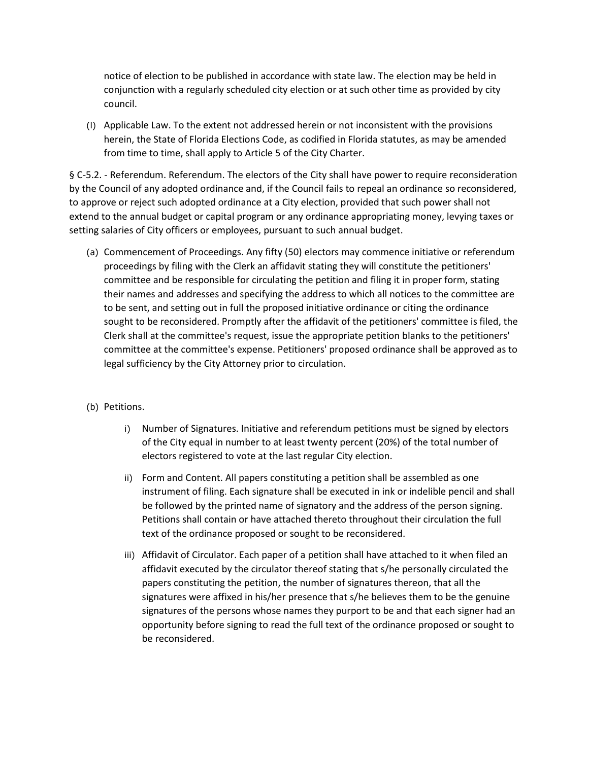notice of election to be published in accordance with state law. The election may be held in conjunction with a regularly scheduled city election or at such other time as provided by city council.

(l) Applicable Law. To the extent not addressed herein or not inconsistent with the provisions herein, the State of Florida Elections Code, as codified in Florida statutes, as may be amended from time to time, shall apply to Article 5 of the City Charter.

§ C-5.2. - Referendum. Referendum. The electors of the City shall have power to require reconsideration by the Council of any adopted ordinance and, if the Council fails to repeal an ordinance so reconsidered, to approve or reject such adopted ordinance at a City election, provided that such power shall not extend to the annual budget or capital program or any ordinance appropriating money, levying taxes or setting salaries of City officers or employees, pursuant to such annual budget.

- (a) Commencement of Proceedings. Any fifty (50) electors may commence initiative or referendum proceedings by filing with the Clerk an affidavit stating they will constitute the petitioners' committee and be responsible for circulating the petition and filing it in proper form, stating their names and addresses and specifying the address to which all notices to the committee are to be sent, and setting out in full the proposed initiative ordinance or citing the ordinance sought to be reconsidered. Promptly after the affidavit of the petitioners' committee is filed, the Clerk shall at the committee's request, issue the appropriate petition blanks to the petitioners' committee at the committee's expense. Petitioners' proposed ordinance shall be approved as to legal sufficiency by the City Attorney prior to circulation.
- (b) Petitions.
	- i) Number of Signatures. Initiative and referendum petitions must be signed by electors of the City equal in number to at least twenty percent (20%) of the total number of electors registered to vote at the last regular City election.
	- ii) Form and Content. All papers constituting a petition shall be assembled as one instrument of filing. Each signature shall be executed in ink or indelible pencil and shall be followed by the printed name of signatory and the address of the person signing. Petitions shall contain or have attached thereto throughout their circulation the full text of the ordinance proposed or sought to be reconsidered.
	- iii) Affidavit of Circulator. Each paper of a petition shall have attached to it when filed an affidavit executed by the circulator thereof stating that s/he personally circulated the papers constituting the petition, the number of signatures thereon, that all the signatures were affixed in his/her presence that s/he believes them to be the genuine signatures of the persons whose names they purport to be and that each signer had an opportunity before signing to read the full text of the ordinance proposed or sought to be reconsidered.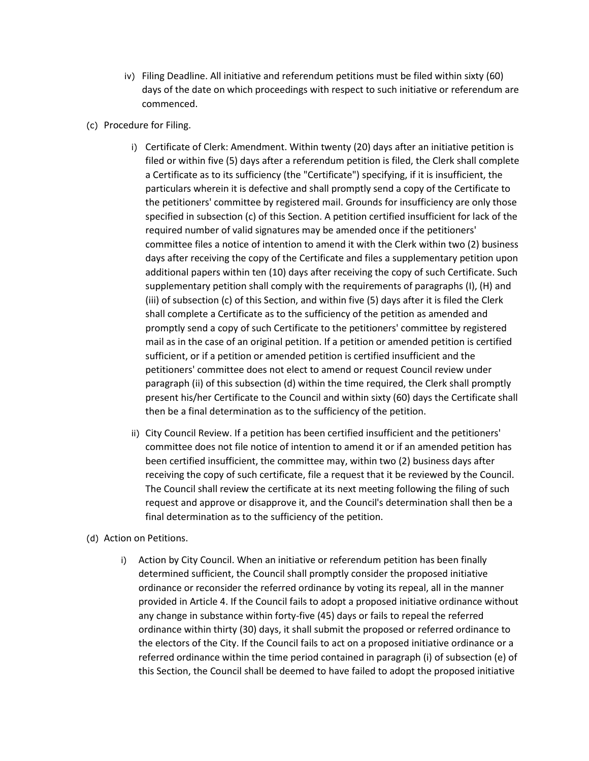- iv) Filing Deadline. All initiative and referendum petitions must be filed within sixty (60) days of the date on which proceedings with respect to such initiative or referendum are commenced.
- (c) Procedure for Filing.
	- i) Certificate of Clerk: Amendment. Within twenty (20) days after an initiative petition is filed or within five (5) days after a referendum petition is filed, the Clerk shall complete a Certificate as to its sufficiency (the "Certificate") specifying, if it is insufficient, the particulars wherein it is defective and shall promptly send a copy of the Certificate to the petitioners' committee by registered mail. Grounds for insufficiency are only those specified in subsection (c) of this Section. A petition certified insufficient for lack of the required number of valid signatures may be amended once if the petitioners' committee files a notice of intention to amend it with the Clerk within two (2) business days after receiving the copy of the Certificate and files a supplementary petition upon additional papers within ten (10) days after receiving the copy of such Certificate. Such supplementary petition shall comply with the requirements of paragraphs (I), (H) and (iii) of subsection (c) of this Section, and within five (5) days after it is filed the Clerk shall complete a Certificate as to the sufficiency of the petition as amended and promptly send a copy of such Certificate to the petitioners' committee by registered mail as in the case of an original petition. If a petition or amended petition is certified sufficient, or if a petition or amended petition is certified insufficient and the petitioners' committee does not elect to amend or request Council review under paragraph (ii) of this subsection (d) within the time required, the Clerk shall promptly present his/her Certificate to the Council and within sixty (60) days the Certificate shall then be a final determination as to the sufficiency of the petition.
	- ii) City Council Review. If a petition has been certified insufficient and the petitioners' committee does not file notice of intention to amend it or if an amended petition has been certified insufficient, the committee may, within two (2) business days after receiving the copy of such certificate, file a request that it be reviewed by the Council. The Council shall review the certificate at its next meeting following the filing of such request and approve or disapprove it, and the Council's determination shall then be a final determination as to the sufficiency of the petition.
- (d) Action on Petitions.
	- i) Action by City Council. When an initiative or referendum petition has been finally determined sufficient, the Council shall promptly consider the proposed initiative ordinance or reconsider the referred ordinance by voting its repeal, all in the manner provided in Article 4. If the Council fails to adopt a proposed initiative ordinance without any change in substance within forty-five (45) days or fails to repeal the referred ordinance within thirty (30) days, it shall submit the proposed or referred ordinance to the electors of the City. If the Council fails to act on a proposed initiative ordinance or a referred ordinance within the time period contained in paragraph (i) of subsection (e) of this Section, the Council shall be deemed to have failed to adopt the proposed initiative